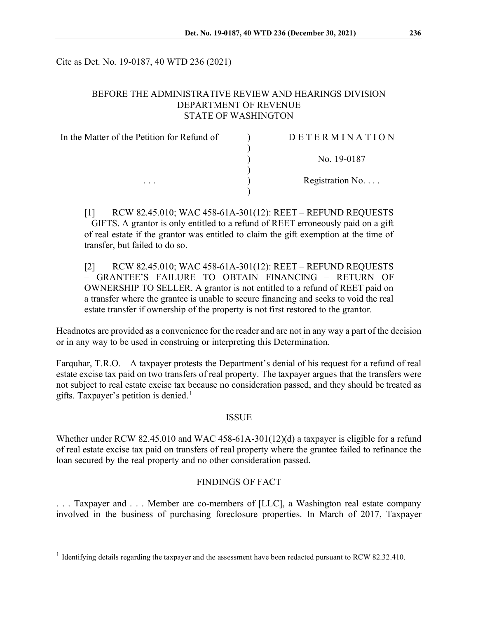Cite as Det. No. 19-0187, 40 WTD 236 (2021)

# BEFORE THE ADMINISTRATIVE REVIEW AND HEARINGS DIVISION DEPARTMENT OF REVENUE STATE OF WASHINGTON

| In the Matter of the Petition for Refund of | <b>DETERMINATION</b>     |
|---------------------------------------------|--------------------------|
|                                             | No. 19-0187              |
| $\cdots$                                    | Registration No. $\dots$ |

[1] RCW 82.45.010; WAC 458-61A-301(12): REET – REFUND REQUESTS – GIFTS. A grantor is only entitled to a refund of REET erroneously paid on a gift of real estate if the grantor was entitled to claim the gift exemption at the time of transfer, but failed to do so.

[2] RCW 82.45.010; WAC 458-61A-301(12): REET – REFUND REQUESTS – GRANTEE'S FAILURE TO OBTAIN FINANCING – RETURN OF OWNERSHIP TO SELLER. A grantor is not entitled to a refund of REET paid on a transfer where the grantee is unable to secure financing and seeks to void the real estate transfer if ownership of the property is not first restored to the grantor.

Headnotes are provided as a convenience for the reader and are not in any way a part of the decision or in any way to be used in construing or interpreting this Determination.

Farquhar, T.R.O. – A taxpayer protests the Department's denial of his request for a refund of real estate excise tax paid on two transfers of real property. The taxpayer argues that the transfers were not subject to real estate excise tax because no consideration passed, and they should be treated as gifts. Taxpayer's petition is denied. [1](#page-0-0)

#### ISSUE

Whether under RCW 82.45.010 and WAC 458-61A-301(12)(d) a taxpayer is eligible for a refund of real estate excise tax paid on transfers of real property where the grantee failed to refinance the loan secured by the real property and no other consideration passed.

# FINDINGS OF FACT

. . . Taxpayer and . . . Member are co-members of [LLC], a Washington real estate company involved in the business of purchasing foreclosure properties. In March of 2017, Taxpayer

<span id="page-0-0"></span><sup>&</sup>lt;sup>1</sup> Identifying details regarding the taxpayer and the assessment have been redacted pursuant to RCW 82.32.410.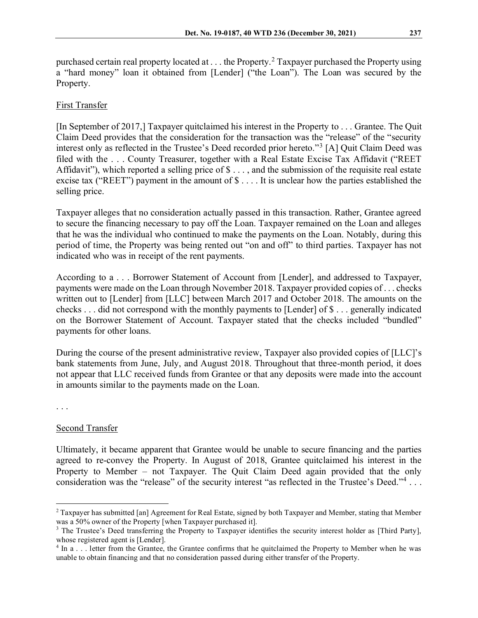purchased certain real property located at  $\dots$  the Property.<sup>[2](#page-1-0)</sup> Taxpayer purchased the Property using a "hard money" loan it obtained from [Lender] ("the Loan"). The Loan was secured by the Property.

## First Transfer

[In September of 2017,] Taxpayer quitclaimed his interest in the Property to . . . Grantee. The Quit Claim Deed provides that the consideration for the transaction was the "release" of the "security interest only as reflected in the Trustee's Deed recorded prior hereto."[3](#page-1-1) [A] Quit Claim Deed was filed with the . . . County Treasurer, together with a Real Estate Excise Tax Affidavit ("REET Affidavit"), which reported a selling price of \$ . . . , and the submission of the requisite real estate excise tax ("REET") payment in the amount of  $\$\dots$  It is unclear how the parties established the selling price.

Taxpayer alleges that no consideration actually passed in this transaction. Rather, Grantee agreed to secure the financing necessary to pay off the Loan. Taxpayer remained on the Loan and alleges that he was the individual who continued to make the payments on the Loan. Notably, during this period of time, the Property was being rented out "on and off" to third parties. Taxpayer has not indicated who was in receipt of the rent payments.

According to a . . . Borrower Statement of Account from [Lender], and addressed to Taxpayer, payments were made on the Loan through November 2018. Taxpayer provided copies of . . . checks written out to [Lender] from [LLC] between March 2017 and October 2018. The amounts on the checks . . . did not correspond with the monthly payments to [Lender] of \$ . . . generally indicated on the Borrower Statement of Account. Taxpayer stated that the checks included "bundled" payments for other loans.

During the course of the present administrative review, Taxpayer also provided copies of [LLC]'s bank statements from June, July, and August 2018. Throughout that three-month period, it does not appear that LLC received funds from Grantee or that any deposits were made into the account in amounts similar to the payments made on the Loan.

. . .

#### Second Transfer

Ultimately, it became apparent that Grantee would be unable to secure financing and the parties agreed to re-convey the Property. In August of 2018, Grantee quitclaimed his interest in the Property to Member – not Taxpayer. The Quit Claim Deed again provided that the only consideration was the "release" of the security interest "as reflected in the Trustee's Deed."<sup>[4](#page-1-2)</sup> ...

<span id="page-1-0"></span><sup>&</sup>lt;sup>2</sup> Taxpayer has submitted [an] Agreement for Real Estate, signed by both Taxpayer and Member, stating that Member was a 50% owner of the Property [when Taxpayer purchased it].

<span id="page-1-1"></span><sup>&</sup>lt;sup>3</sup> The Trustee's Deed transferring the Property to Taxpayer identifies the security interest holder as [Third Party],

<span id="page-1-2"></span>whose registered agent is [Lender].<br><sup>4</sup> In a . . . letter from the Grantee, the Grantee confirms that he quitclaimed the Property to Member when he was unable to obtain financing and that no consideration passed during either transfer of the Property.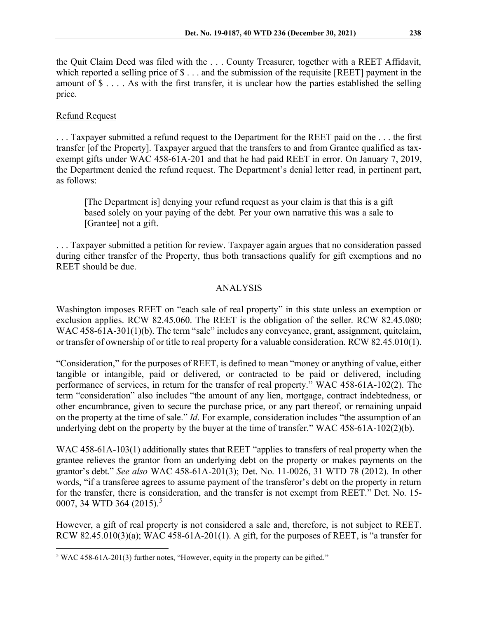the Quit Claim Deed was filed with the . . . County Treasurer, together with a REET Affidavit, which reported a selling price of  $\$ ... and the submission of the requisite [REET] payment in the amount of \$ . . . . As with the first transfer, it is unclear how the parties established the selling price.

# Refund Request

. . . Taxpayer submitted a refund request to the Department for the REET paid on the . . . the first transfer [of the Property]. Taxpayer argued that the transfers to and from Grantee qualified as taxexempt gifts under WAC 458-61A-201 and that he had paid REET in error. On January 7, 2019, the Department denied the refund request. The Department's denial letter read, in pertinent part, as follows:

[The Department is] denying your refund request as your claim is that this is a gift based solely on your paying of the debt. Per your own narrative this was a sale to [Grantee] not a gift.

. . . Taxpayer submitted a petition for review. Taxpayer again argues that no consideration passed during either transfer of the Property, thus both transactions qualify for gift exemptions and no REET should be due.

## ANALYSIS

Washington imposes REET on "each sale of real property" in this state unless an exemption or exclusion applies. RCW 82.45.060. The REET is the obligation of the seller. RCW 82.45.080; WAC 458-61A-301(1)(b). The term "sale" includes any conveyance, grant, assignment, quitclaim, or transfer of ownership of or title to real property for a valuable consideration. RCW 82.45.010(1).

"Consideration," for the purposes of REET, is defined to mean "money or anything of value, either tangible or intangible, paid or delivered, or contracted to be paid or delivered, including performance of services, in return for the transfer of real property." WAC 458-61A-102(2). The term "consideration" also includes "the amount of any lien, mortgage, contract indebtedness, or other encumbrance, given to secure the purchase price, or any part thereof, or remaining unpaid on the property at the time of sale." *Id*. For example, consideration includes "the assumption of an underlying debt on the property by the buyer at the time of transfer." WAC 458-61A-102(2)(b).

WAC 458-61A-103(1) additionally states that REET "applies to transfers of real property when the grantee relieves the grantor from an underlying debt on the property or makes payments on the grantor's debt." *See also* WAC 458-61A-201(3); Det. No. 11-0026, 31 WTD 78 (2012). In other words, "if a transferee agrees to assume payment of the transferor's debt on the property in return for the transfer, there is consideration, and the transfer is not exempt from REET." Det. No. 15- 0007, 34 WTD 364 (201[5](#page-2-0)).<sup>5</sup>

However, a gift of real property is not considered a sale and, therefore, is not subject to REET. RCW 82.45.010(3)(a); WAC 458-61A-201(1). A gift, for the purposes of REET, is "a transfer for

<span id="page-2-0"></span><sup>5</sup> WAC 458-61A-201(3) further notes, "However, equity in the property can be gifted."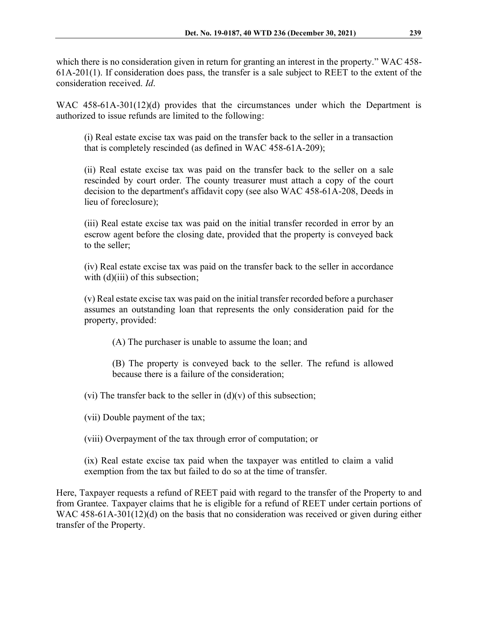which there is no consideration given in return for granting an interest in the property." WAC 458-61A-201(1). If consideration does pass, the transfer is a sale subject to REET to the extent of the consideration received. *Id*.

WAC 458-61A-301(12)(d) provides that the circumstances under which the Department is authorized to issue refunds are limited to the following:

(i) Real estate excise tax was paid on the transfer back to the seller in a transaction that is completely rescinded (as defined in WAC 458-61A-209);

(ii) Real estate excise tax was paid on the transfer back to the seller on a sale rescinded by court order. The county treasurer must attach a copy of the court decision to the department's affidavit copy (see also WAC 458-61A-208, Deeds in lieu of foreclosure);

(iii) Real estate excise tax was paid on the initial transfer recorded in error by an escrow agent before the closing date, provided that the property is conveyed back to the seller;

(iv) Real estate excise tax was paid on the transfer back to the seller in accordance with (d)(iii) of this subsection;

(v) Real estate excise tax was paid on the initial transfer recorded before a purchaser assumes an outstanding loan that represents the only consideration paid for the property, provided:

(A) The purchaser is unable to assume the loan; and

(B) The property is conveyed back to the seller. The refund is allowed because there is a failure of the consideration;

(vi) The transfer back to the seller in  $(d)(v)$  of this subsection;

(vii) Double payment of the tax;

(viii) Overpayment of the tax through error of computation; or

(ix) Real estate excise tax paid when the taxpayer was entitled to claim a valid exemption from the tax but failed to do so at the time of transfer.

Here, Taxpayer requests a refund of REET paid with regard to the transfer of the Property to and from Grantee. Taxpayer claims that he is eligible for a refund of REET under certain portions of WAC 458-61A-301(12)(d) on the basis that no consideration was received or given during either transfer of the Property.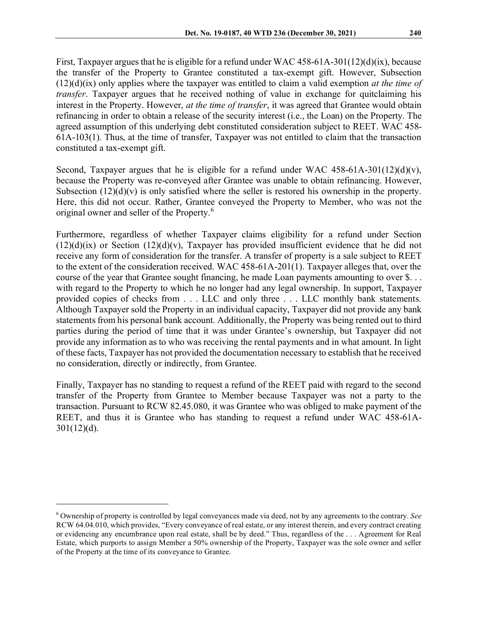First, Taxpayer argues that he is eligible for a refund under WAC 458-61A-301(12)(d)(ix), because the transfer of the Property to Grantee constituted a tax-exempt gift. However, Subsection (12)(d)(ix) only applies where the taxpayer was entitled to claim a valid exemption *at the time of transfer*. Taxpayer argues that he received nothing of value in exchange for quitclaiming his interest in the Property. However, *at the time of transfer*, it was agreed that Grantee would obtain refinancing in order to obtain a release of the security interest (i.e., the Loan) on the Property. The agreed assumption of this underlying debt constituted consideration subject to REET. WAC 458- 61A-103(1). Thus, at the time of transfer, Taxpayer was not entitled to claim that the transaction constituted a tax-exempt gift.

Second, Taxpayer argues that he is eligible for a refund under WAC  $458-61A-301(12)(d)(v)$ , because the Property was re-conveyed after Grantee was unable to obtain refinancing. However, Subsection  $(12)(d)(v)$  is only satisfied where the seller is restored his ownership in the property. Here, this did not occur. Rather, Grantee conveyed the Property to Member, who was not the original owner and seller of the Property.<sup>[6](#page-4-0)</sup>

Furthermore, regardless of whether Taxpayer claims eligibility for a refund under Section  $(12)(d)(ix)$  or Section  $(12)(d)(v)$ , Taxpayer has provided insufficient evidence that he did not receive any form of consideration for the transfer. A transfer of property is a sale subject to REET to the extent of the consideration received. WAC 458-61A-201(1). Taxpayer alleges that, over the course of the year that Grantee sought financing, he made Loan payments amounting to over \$. . . with regard to the Property to which he no longer had any legal ownership. In support, Taxpayer provided copies of checks from . . . LLC and only three . . . LLC monthly bank statements. Although Taxpayer sold the Property in an individual capacity, Taxpayer did not provide any bank statements from his personal bank account. Additionally, the Property was being rented out to third parties during the period of time that it was under Grantee's ownership, but Taxpayer did not provide any information as to who was receiving the rental payments and in what amount. In light of these facts, Taxpayer has not provided the documentation necessary to establish that he received no consideration, directly or indirectly, from Grantee.

Finally, Taxpayer has no standing to request a refund of the REET paid with regard to the second transfer of the Property from Grantee to Member because Taxpayer was not a party to the transaction. Pursuant to RCW 82.45.080, it was Grantee who was obliged to make payment of the REET, and thus it is Grantee who has standing to request a refund under WAC 458-61A- $301(12)(d)$ .

<span id="page-4-0"></span><sup>6</sup> Ownership of property is controlled by legal conveyances made via deed, not by any agreements to the contrary. *See*  RCW 64.04.010, which provides, "Every conveyance of real estate, or any interest therein, and every contract creating or evidencing any encumbrance upon real estate, shall be by deed." Thus, regardless of the . . . Agreement for Real Estate, which purports to assign Member a 50% ownership of the Property, Taxpayer was the sole owner and seller of the Property at the time of its conveyance to Grantee.